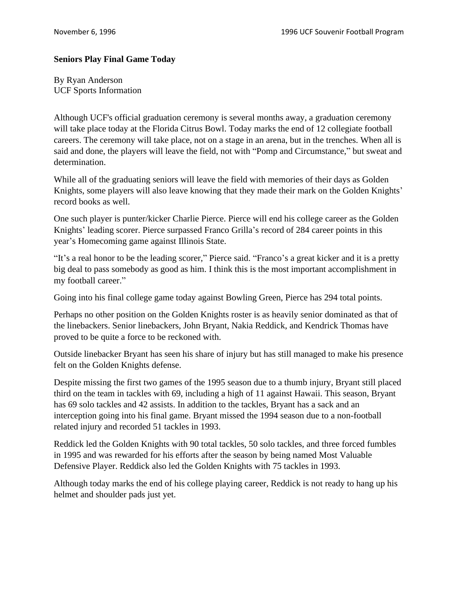## **Seniors Play Final Game Today**

By Ryan Anderson UCF Sports Information

Although UCF's official graduation ceremony is several months away, a graduation ceremony will take place today at the Florida Citrus Bowl. Today marks the end of 12 collegiate football careers. The ceremony will take place, not on a stage in an arena, but in the trenches. When all is said and done, the players will leave the field, not with "Pomp and Circumstance," but sweat and determination.

While all of the graduating seniors will leave the field with memories of their days as Golden Knights, some players will also leave knowing that they made their mark on the Golden Knights' record books as well.

One such player is punter/kicker Charlie Pierce. Pierce will end his college career as the Golden Knights' leading scorer. Pierce surpassed Franco Grilla's record of 284 career points in this year's Homecoming game against Illinois State.

"It's a real honor to be the leading scorer," Pierce said. "Franco's a great kicker and it is a pretty big deal to pass somebody as good as him. I think this is the most important accomplishment in my football career."

Going into his final college game today against Bowling Green, Pierce has 294 total points.

Perhaps no other position on the Golden Knights roster is as heavily senior dominated as that of the linebackers. Senior linebackers, John Bryant, Nakia Reddick, and Kendrick Thomas have proved to be quite a force to be reckoned with.

Outside linebacker Bryant has seen his share of injury but has still managed to make his presence felt on the Golden Knights defense.

Despite missing the first two games of the 1995 season due to a thumb injury, Bryant still placed third on the team in tackles with 69, including a high of 11 against Hawaii. This season, Bryant has 69 solo tackles and 42 assists. In addition to the tackles, Bryant has a sack and an interception going into his final game. Bryant missed the 1994 season due to a non-football related injury and recorded 51 tackles in 1993.

Reddick led the Golden Knights with 90 total tackles, 50 solo tackles, and three forced fumbles in 1995 and was rewarded for his efforts after the season by being named Most Valuable Defensive Player. Reddick also led the Golden Knights with 75 tackles in 1993.

Although today marks the end of his college playing career, Reddick is not ready to hang up his helmet and shoulder pads just yet.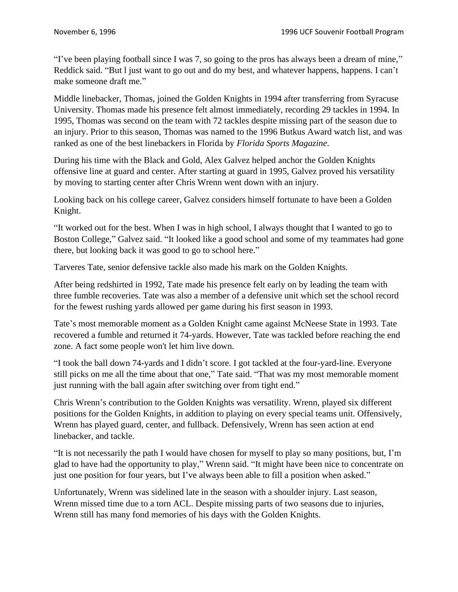"I've been playing football since I was 7, so going to the pros has always been a dream of mine," Reddick said. "But l just want to go out and do my best, and whatever happens, happens. I can't make someone draft me."

Middle linebacker, Thomas, joined the Golden Knights in 1994 after transferring from Syracuse University. Thomas made his presence felt almost immediately, recording 29 tackles in 1994. In 1995, Thomas was second on the team with 72 tackles despite missing part of the season due to an injury. Prior to this season, Thomas was named to the 1996 Butkus Award watch list, and was ranked as one of the best linebackers in Florida by *Florida Sports Magazine*.

During his time with the Black and Gold, Alex Galvez helped anchor the Golden Knights offensive line at guard and center. After starting at guard in 1995, Galvez proved his versatility by moving to starting center after Chris Wrenn went down with an injury.

Looking back on his college career, Galvez considers himself fortunate to have been a Golden Knight.

"It worked out for the best. When I was in high school, I always thought that I wanted to go to Boston College," Galvez said. "It looked like a good school and some of my teammates had gone there, but looking back it was good to go to school here."

Tarveres Tate, senior defensive tackle also made his mark on the Golden Knights.

After being redshirted in 1992, Tate made his presence felt early on by leading the team with three fumble recoveries. Tate was also a member of a defensive unit which set the school record for the fewest rushing yards allowed per game during his first season in 1993.

Tate's most memorable moment as a Golden Knight came against McNeese State in 1993. Tate recovered a fumble and returned it 74-yards. However, Tate was tackled before reaching the end zone. A fact some people won't let him live down.

"I took the ball down 74-yards and I didn't score. I got tackled at the four-yard-line. Everyone still picks on me all the time about that one," Tate said. "That was my most memorable moment just running with the ball again after switching over from tight end."

Chris Wrenn's contribution to the Golden Knights was versatility. Wrenn, played six different positions for the Golden Knights, in addition to playing on every special teams unit. Offensively, Wrenn has played guard, center, and fullback. Defensively, Wrenn has seen action at end linebacker, and tackle.

"It is not necessarily the path I would have chosen for myself to play so many positions, but, I'm glad to have had the opportunity to play," Wrenn said. "It might have been nice to concentrate on just one position for four years, but I've always been able to fill a position when asked."

Unfortunately, Wrenn was sidelined late in the season with a shoulder injury. Last season, Wrenn missed time due to a torn ACL. Despite missing parts of two seasons due to injuries, Wrenn still has many fond memories of his days with the Golden Knights.